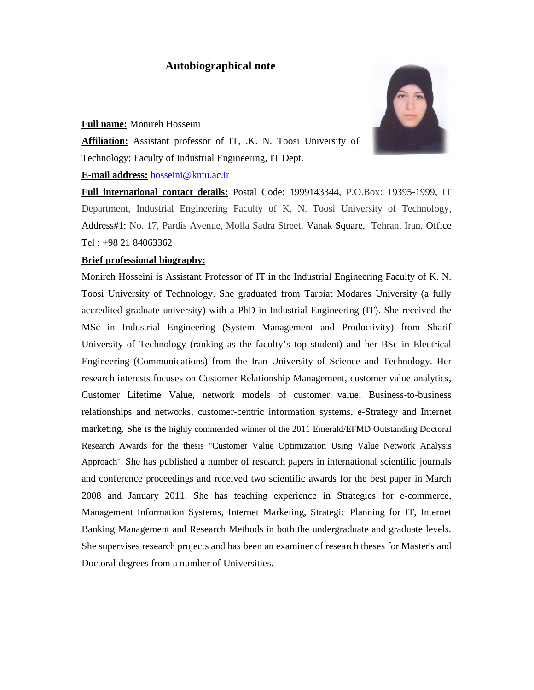# **Autobiographical note**

#### **Full name:** Monireh Hosseini



**Affiliation:** Assistant professor of IT, .K. N. Toosi University of Technology; Faculty of Industrial Engineering, IT Dept.

#### **E-mail address:** hosseini@kntu.ac.ir

**Full international contact details:** Postal Code: 1999143344, P.O.Box: 19395-1999, IT Department, Industrial Engineering Faculty of K. N. Toosi University of Technology, Address#1: No. 17, Pardis Avenue, Molla Sadra Street, Vanak Square, Tehran, Iran. Office Tel : +98 21 84063362

#### **Brief professional biography:**

Monireh Hosseini is Assistant Professor of IT in the Industrial Engineering Faculty of K. N. Toosi University of Technology. She graduated from Tarbiat Modares University (a fully accredited graduate university) with a PhD in Industrial Engineering (IT). She received the MSc in Industrial Engineering (System Management and Productivity) from Sharif University of Technology (ranking as the faculty's top student) and her BSc in Electrical Engineering (Communications) from the Iran University of Science and Technology. Her research interests focuses on Customer Relationship Management, customer value analytics, Customer Lifetime Value, network models of customer value, Business-to-business relationships and networks, customer-centric information systems, e-Strategy and Internet marketing. She is the highly commended winner of the 2011 Emerald/EFMD Outstanding Doctoral Research Awards for the thesis "Customer Value Optimization Using Value Network Analysis Approach". She has published a number of research papers in international scientific journals and conference proceedings and received two scientific awards for the best paper in March 2008 and January 2011. She has teaching experience in Strategies for e-commerce, Management Information Systems, Internet Marketing, Strategic Planning for IT, Internet Banking Management and Research Methods in both the undergraduate and graduate levels. She supervises research projects and has been an examiner of research theses for Master's and Doctoral degrees from a number of Universities.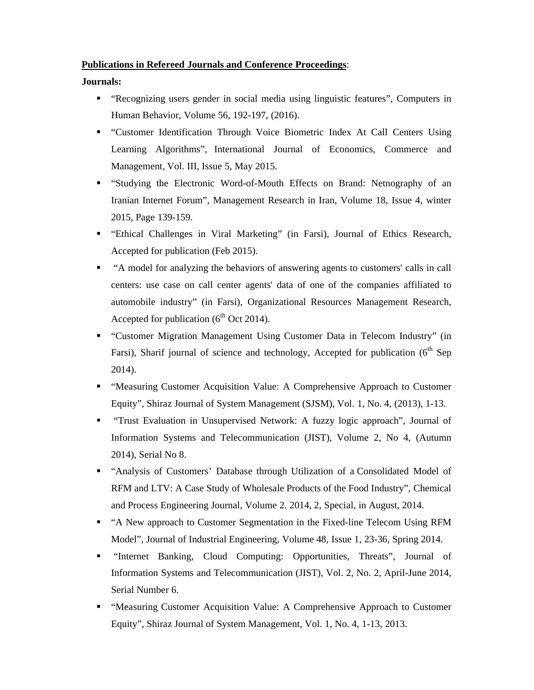#### **Publications in Refereed Journals and Conference Proceedings**:

**Journals:**

- "Recognizing users gender in social media using linguistic features", Computers in Human Behavior, Volume 56, 192-197, (2016).
- "Customer Identification Through Voice Biometric Index At Call Centers Using Learning Algorithms", International Journal of Economics, Commerce and Management, Vol. III, Issue 5, May 2015.
- "Studying the Electronic Word-of-Mouth Effects on Brand: Netnography of an Iranian Internet Forum", Management Research in Iran, Volume 18, Issue 4, winter 2015, Page 139-159.
- "Ethical Challenges in Viral Marketing" (in Farsi), Journal of Ethics Research, Accepted for publication (Feb 2015).
- "A model for analyzing the behaviors of answering agents to customers' calls in call centers: use case on call center agents' data of one of the companies affiliated to automobile industry" (in Farsi), Organizational Resources Management Research, Accepted for publication  $(6<sup>th</sup> Oct 2014)$ .
- "Customer Migration Management Using Customer Data in Telecom Industry" (in Farsi), Sharif journal of science and technology, Accepted for publication ( $6<sup>th</sup>$  Sep 2014).
- "Measuring Customer Acquisition Value: A Comprehensive Approach to Customer Equity", Shiraz Journal of System Management (SJSM), Vol. 1, No. 4, (2013), 1-13.
- "Trust Evaluation in Unsupervised Network: A fuzzy logic approach", Journal of Information Systems and Telecommunication (JIST), Volume 2, No 4, (Autumn 2014), Serial No 8.
- "Analysis of Customers' Database through Utilization of a Consolidated Model of RFM and LTV: A Case Study of Wholesale Products of the Food Industry", Chemical and Process Engineering Journal, Volume 2. 2014, 2, Special, in August, 2014.
- "A New approach to Customer Segmentation in the Fixed-line Telecom Using RFM Model", Journal of Industrial Engineering, Volume 48, Issue 1, 23-36, Spring 2014.
- "Internet Banking, Cloud Computing: Opportunities, Threats", Journal of Information Systems and Telecommunication (JIST), Vol. 2, No. 2, April-June 2014, Serial Number 6.
- "Measuring Customer Acquisition Value: A Comprehensive Approach to Customer Equity", Shiraz Journal of System Management, Vol. 1, No. 4, 1-13, 2013.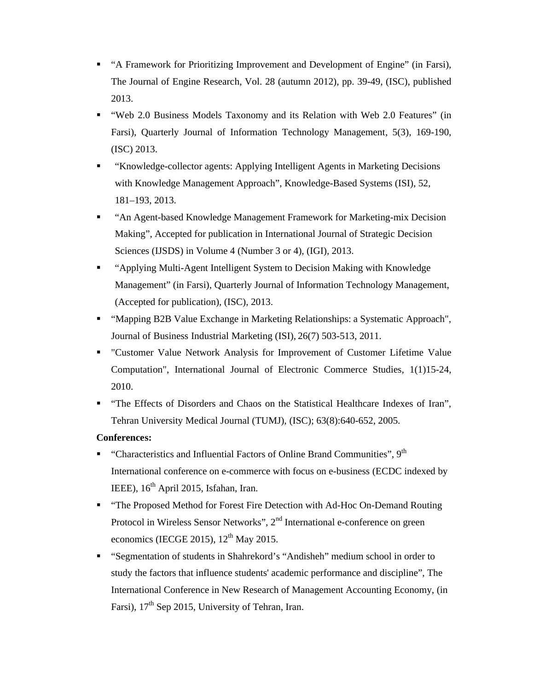- "A Framework for Prioritizing Improvement and Development of Engine" (in Farsi), The Journal of Engine Research, Vol. 28 (autumn 2012), pp. 39-49, (ISC), published 2013.
- "Web 2.0 Business Models Taxonomy and its Relation with Web 2.0 Features" (in Farsi), Quarterly Journal of Information Technology Management, 5(3), 169-190, (ISC) 2013.
- "Knowledge-collector agents: Applying Intelligent Agents in Marketing Decisions with Knowledge Management Approach", Knowledge-Based Systems (ISI), 52, 181–193, 2013.
- "An Agent-based Knowledge Management Framework for Marketing-mix Decision Making", Accepted for publication in International Journal of Strategic Decision Sciences (IJSDS) in Volume 4 (Number 3 or 4), (IGI), 2013.
- "Applying Multi-Agent Intelligent System to Decision Making with Knowledge Management" (in Farsi), Quarterly Journal of Information Technology Management, (Accepted for publication), (ISC), 2013.
- "Mapping B2B Value Exchange in Marketing Relationships: a Systematic Approach", Journal of Business Industrial Marketing (ISI), 26(7) 503-513, 2011.
- "Customer Value Network Analysis for Improvement of Customer Lifetime Value Computation", International Journal of Electronic Commerce Studies, 1(1)15-24, 2010.
- "The Effects of Disorders and Chaos on the Statistical Healthcare Indexes of Iran", Tehran University Medical Journal (TUMJ), (ISC); 63(8):640-652, 2005.

## **Conferences:**

- "Characteristics and Influential Factors of Online Brand Communities", 9<sup>th</sup> International conference on e-commerce with focus on e-business (ECDC indexed by IEEE),  $16<sup>th</sup>$  April 2015, Isfahan, Iran.
- "The Proposed Method for Forest Fire Detection with Ad-Hoc On-Demand Routing Protocol in Wireless Sensor Networks", 2nd International e-conference on green economics (IECGE 2015),  $12<sup>th</sup>$  May 2015.
- "Segmentation of students in Shahrekord's "Andisheh" medium school in order to study the factors that influence students' academic performance and discipline", The International Conference in New Research of Management Accounting Economy, (in Farsi),  $17<sup>th</sup>$  Sep 2015, University of Tehran, Iran.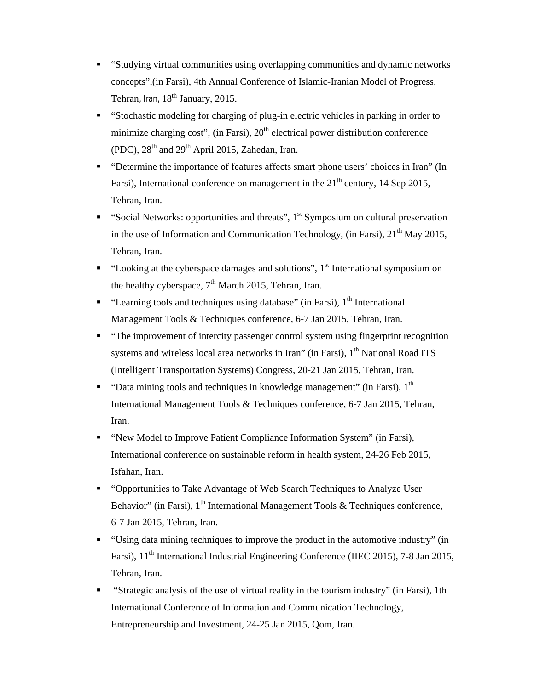- "Studying virtual communities using overlapping communities and dynamic networks concepts",(in Farsi), 4th Annual Conference of Islamic-Iranian Model of Progress, Tehran, Iran,  $18<sup>th</sup>$  January, 2015.
- "Stochastic modeling for charging of plug-in electric vehicles in parking in order to minimize charging cost", (in Farsi),  $20<sup>th</sup>$  electrical power distribution conference (PDC),  $28<sup>th</sup>$  and  $29<sup>th</sup>$  April 2015, Zahedan, Iran.
- "Determine the importance of features affects smart phone users' choices in Iran" (In Farsi), International conference on management in the  $21<sup>th</sup>$  century, 14 Sep 2015, Tehran, Iran.
- "Social Networks: opportunities and threats",  $1<sup>st</sup>$  Symposium on cultural preservation in the use of Information and Communication Technology, (in Farsi),  $21<sup>th</sup>$  May 2015, Tehran, Iran.
- " "Looking at the cyberspace damages and solutions",  $1<sup>st</sup>$  International symposium on the healthy cyberspace,  $7<sup>th</sup>$  March 2015, Tehran, Iran.
- " "Learning tools and techniques using database" (in Farsi),  $1<sup>th</sup>$  International Management Tools & Techniques conference, 6-7 Jan 2015, Tehran, Iran.
- "The improvement of intercity passenger control system using fingerprint recognition systems and wireless local area networks in Iran" (in Farsi),  $1<sup>th</sup>$  National Road ITS (Intelligent Transportation Systems) Congress, 20-21 Jan 2015, Tehran, Iran.
- " "Data mining tools and techniques in knowledge management" (in Farsi),  $1<sup>th</sup>$ International Management Tools & Techniques conference, 6-7 Jan 2015, Tehran, Iran.
- " "New Model to Improve Patient Compliance Information System" (in Farsi), International conference on sustainable reform in health system, 24-26 Feb 2015, Isfahan, Iran.
- "Opportunities to Take Advantage of Web Search Techniques to Analyze User Behavior" (in Farsi),  $1<sup>th</sup>$  International Management Tools & Techniques conference, 6-7 Jan 2015, Tehran, Iran.
- "Using data mining techniques to improve the product in the automotive industry" (in Farsi), 11<sup>th</sup> International Industrial Engineering Conference (IIEC 2015), 7-8 Jan 2015, Tehran, Iran.
- "Strategic analysis of the use of virtual reality in the tourism industry" (in Farsi), 1th International Conference of Information and Communication Technology, Entrepreneurship and Investment, 24-25 Jan 2015, Qom, Iran.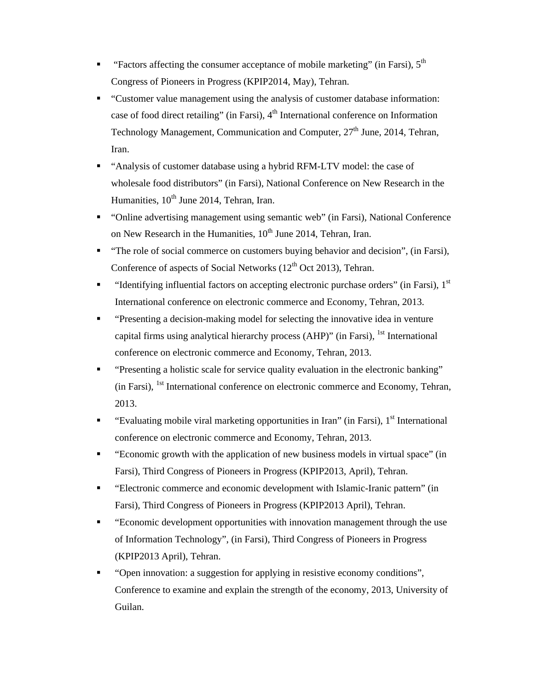- " "Factors affecting the consumer acceptance of mobile marketing" (in Farsi),  $5<sup>th</sup>$ Congress of Pioneers in Progress (KPIP2014, May), Tehran.
- "Customer value management using the analysis of customer database information: case of food direct retailing" (in Farsi),  $4<sup>th</sup>$  International conference on Information Technology Management, Communication and Computer, 27<sup>th</sup> June, 2014, Tehran, Iran.
- "Analysis of customer database using a hybrid RFM-LTV model: the case of wholesale food distributors" (in Farsi), National Conference on New Research in the Humanities,  $10^{th}$  June 2014, Tehran, Iran.
- "Online advertising management using semantic web" (in Farsi), National Conference on New Research in the Humanities,  $10^{th}$  June 2014, Tehran, Iran.
- "The role of social commerce on customers buying behavior and decision", (in Farsi), Conference of aspects of Social Networks  $(12<sup>th</sup> Oct 2013)$ , Tehran.
- "Identifying influential factors on accepting electronic purchase orders" (in Farsi),  $1<sup>st</sup>$ International conference on electronic commerce and Economy, Tehran, 2013.
- "Presenting a decision-making model for selecting the innovative idea in venture capital firms using analytical hierarchy process (AHP)" (in Farsi), <sup>1st</sup> International conference on electronic commerce and Economy, Tehran, 2013.
- "Presenting a holistic scale for service quality evaluation in the electronic banking" (in Farsi), 1st International conference on electronic commerce and Economy, Tehran, 2013.
- "Evaluating mobile viral marketing opportunities in Iran" (in Farsi),  $1<sup>st</sup>$  International conference on electronic commerce and Economy, Tehran, 2013.
- "Economic growth with the application of new business models in virtual space" (in Farsi), Third Congress of Pioneers in Progress (KPIP2013, April), Tehran.
- "Electronic commerce and economic development with Islamic-Iranic pattern" (in Farsi), Third Congress of Pioneers in Progress (KPIP2013 April), Tehran.
- "Economic development opportunities with innovation management through the use of Information Technology", (in Farsi), Third Congress of Pioneers in Progress (KPIP2013 April), Tehran.
- "Open innovation: a suggestion for applying in resistive economy conditions", Conference to examine and explain the strength of the economy, 2013, University of Guilan.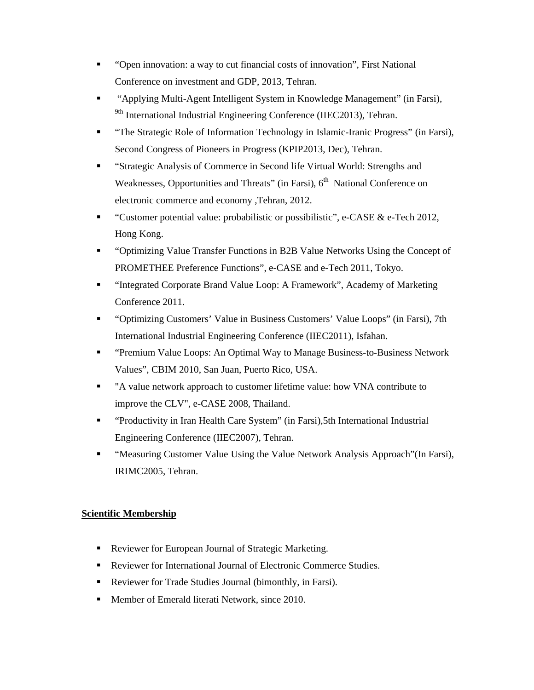- "Open innovation: a way to cut financial costs of innovation", First National Conference on investment and GDP, 2013, Tehran.
- "Applying Multi-Agent Intelligent System in Knowledge Management" (in Farsi), <sup>9th</sup> International Industrial Engineering Conference (IIEC2013), Tehran.
- "The Strategic Role of Information Technology in Islamic-Iranic Progress" (in Farsi), Second Congress of Pioneers in Progress (KPIP2013, Dec), Tehran.
- "Strategic Analysis of Commerce in Second life Virtual World: Strengths and Weaknesses, Opportunities and Threats" (in Farsi), 6<sup>th</sup> National Conference on electronic commerce and economy ,Tehran, 2012.
- "Customer potential value: probabilistic or possibilistic", e-CASE  $&$  e-Tech 2012, Hong Kong.
- "Optimizing Value Transfer Functions in B2B Value Networks Using the Concept of PROMETHEE Preference Functions", e-CASE and e-Tech 2011, Tokyo.
- "Integrated Corporate Brand Value Loop: A Framework", Academy of Marketing Conference 2011.
- "Optimizing Customers' Value in Business Customers' Value Loops" (in Farsi), 7th International Industrial Engineering Conference (IIEC2011), Isfahan.
- "Premium Value Loops: An Optimal Way to Manage Business-to-Business Network Values", CBIM 2010, San Juan, Puerto Rico, USA.
- "A value network approach to customer lifetime value: how VNA contribute to improve the CLV", e-CASE 2008, Thailand.
- "Productivity in Iran Health Care System" (in Farsi),5th International Industrial Engineering Conference (IIEC2007), Tehran.
- "Measuring Customer Value Using the Value Network Analysis Approach"(In Farsi), IRIMC2005, Tehran.

# **Scientific Membership**

- Reviewer for European Journal of Strategic Marketing.
- Reviewer for International Journal of Electronic Commerce Studies.
- Reviewer for Trade Studies Journal (bimonthly, in Farsi).
- **Member of Emerald literati Network, since 2010.**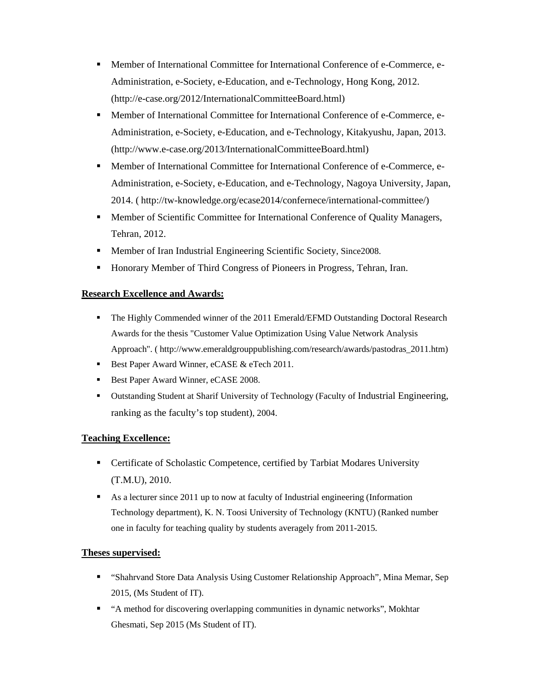- Member of International Committee for International Conference of e-Commerce, e-Administration, e-Society, e-Education, and e-Technology, Hong Kong, 2012. (http://e-case.org/2012/InternationalCommitteeBoard.html)
- Member of International Committee for International Conference of e-Commerce, e-Administration, e-Society, e-Education, and e-Technology, Kitakyushu, Japan, 2013. (http://www.e-case.org/2013/InternationalCommitteeBoard.html)
- Member of International Committee for International Conference of e-Commerce, e-Administration, e-Society, e-Education, and e-Technology, Nagoya University, Japan, 2014. ( http://tw-knowledge.org/ecase2014/confernece/international-committee/)
- Member of Scientific Committee for International Conference of Quality Managers, Tehran, 2012.
- **Member of Iran Industrial Engineering Scientific Society, Since 2008.**
- Honorary Member of Third Congress of Pioneers in Progress, Tehran, Iran.

## **Research Excellence and Awards:**

- The Highly Commended winner of the 2011 Emerald/EFMD Outstanding Doctoral Research Awards for the thesis "Customer Value Optimization Using Value Network Analysis Approach". ( http://www.emeraldgrouppublishing.com/research/awards/pastodras\_2011.htm)
- Best Paper Award Winner, eCASE & eTech 2011.
- Best Paper Award Winner, eCASE 2008.
- Outstanding Student at Sharif University of Technology (Faculty of Industrial Engineering, ranking as the faculty's top student), 2004.

## **Teaching Excellence:**

- Certificate of Scholastic Competence, certified by Tarbiat Modares University (T.M.U), 2010.
- As a lecturer since 2011 up to now at faculty of Industrial engineering (Information Technology department), K. N. Toosi University of Technology (KNTU) (Ranked number one in faculty for teaching quality by students averagely from 2011-2015.

## **Theses supervised:**

- "Shahrvand Store Data Analysis Using Customer Relationship Approach", Mina Memar, Sep 2015, (Ms Student of IT).
- "A method for discovering overlapping communities in dynamic networks", Mokhtar Ghesmati, Sep 2015 (Ms Student of IT).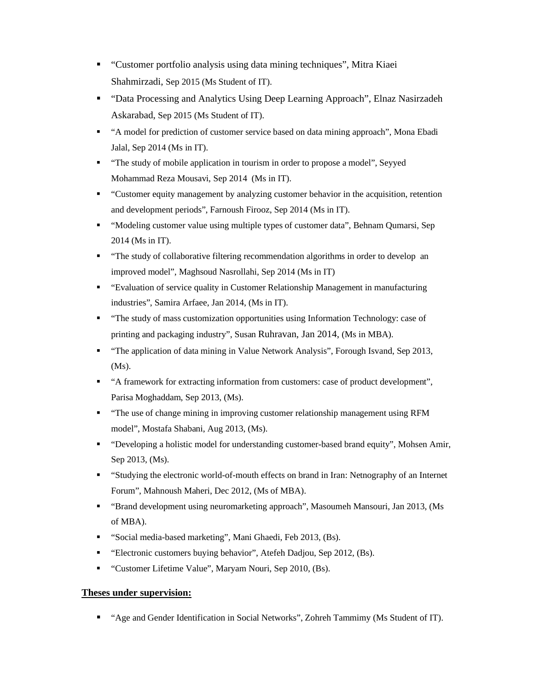- "Customer portfolio analysis using data mining techniques", Mitra Kiaei Shahmirzadi, Sep 2015 (Ms Student of IT).
- "Data Processing and Analytics Using Deep Learning Approach", Elnaz Nasirzadeh Askarabad, Sep 2015 (Ms Student of IT).
- "A model for prediction of customer service based on data mining approach", Mona Ebadi Jalal, Sep 2014 (Ms in IT).
- "The study of mobile application in tourism in order to propose a model", Seyyed Mohammad Reza Mousavi, Sep 2014 (Ms in IT).
- "Customer equity management by analyzing customer behavior in the acquisition, retention and development periods", Farnoush Firooz, Sep 2014 (Ms in IT).
- "Modeling customer value using multiple types of customer data", Behnam Qumarsi, Sep 2014 (Ms in IT).
- "The study of collaborative filtering recommendation algorithms in order to develop an improved model", Maghsoud Nasrollahi, Sep 2014 (Ms in IT)
- "Evaluation of service quality in Customer Relationship Management in manufacturing industries", Samira Arfaee, Jan 2014, (Ms in IT).
- "The study of mass customization opportunities using Information Technology: case of printing and packaging industry", Susan Ruhravan, Jan 2014, (Ms in MBA).
- "The application of data mining in Value Network Analysis", Forough Isvand, Sep 2013, (Ms).
- "A framework for extracting information from customers: case of product development", Parisa Moghaddam, Sep 2013, (Ms).
- "The use of change mining in improving customer relationship management using RFM model", Mostafa Shabani, Aug 2013, (Ms).
- "Developing a holistic model for understanding customer-based brand equity", Mohsen Amir, Sep 2013, (Ms).
- "Studying the electronic world-of-mouth effects on brand in Iran: Netnography of an Internet Forum", Mahnoush Maheri, Dec 2012, (Ms of MBA).
- "Brand development using neuromarketing approach", Masoumeh Mansouri, Jan 2013, (Ms of MBA).
- "Social media-based marketing", Mani Ghaedi, Feb 2013, (Bs).
- "Electronic customers buying behavior", Atefeh Dadjou, Sep 2012, (Bs).
- "Customer Lifetime Value", Maryam Nouri, Sep 2010, (Bs).

## **Theses under supervision:**

"Age and Gender Identification in Social Networks", Zohreh Tammimy (Ms Student of IT).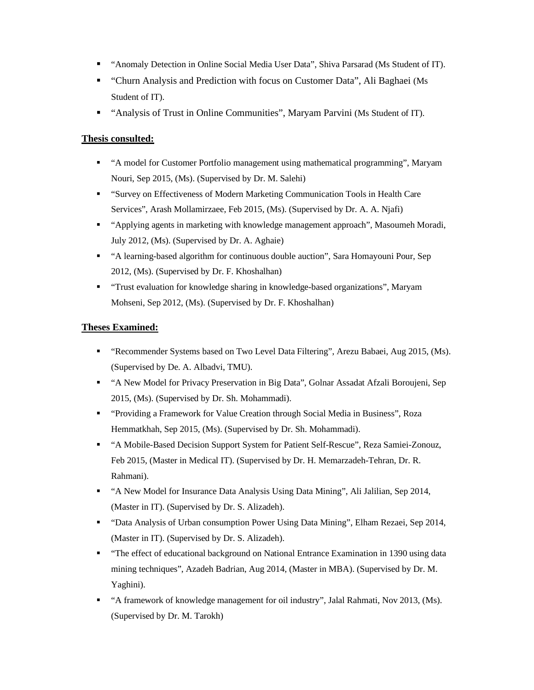- "Anomaly Detection in Online Social Media User Data", Shiva Parsarad (Ms Student of IT).
- "Churn Analysis and Prediction with focus on Customer Data", Ali Baghaei (Ms Student of IT).
- "Analysis of Trust in Online Communities", Maryam Parvini (Ms Student of IT).

#### **Thesis consulted:**

- "A model for Customer Portfolio management using mathematical programming", Maryam Nouri, Sep 2015, (Ms). (Supervised by Dr. M. Salehi)
- "Survey on Effectiveness of Modern Marketing Communication Tools in Health Care Services", Arash Mollamirzaee, Feb 2015, (Ms). (Supervised by Dr. A. A. Njafi)
- "Applying agents in marketing with knowledge management approach", Masoumeh Moradi, July 2012, (Ms). (Supervised by Dr. A. Aghaie)
- "A learning-based algorithm for continuous double auction", Sara Homayouni Pour, Sep 2012, (Ms). (Supervised by Dr. F. Khoshalhan)
- "Trust evaluation for knowledge sharing in knowledge-based organizations", Maryam Mohseni, Sep 2012, (Ms). (Supervised by Dr. F. Khoshalhan)

#### **Theses Examined:**

- "Recommender Systems based on Two Level Data Filtering", Arezu Babaei, Aug 2015, (Ms). (Supervised by De. A. Albadvi, TMU).
- "A New Model for Privacy Preservation in Big Data", Golnar Assadat Afzali Boroujeni, Sep 2015, (Ms). (Supervised by Dr. Sh. Mohammadi).
- "Providing a Framework for Value Creation through Social Media in Business", Roza Hemmatkhah, Sep 2015, (Ms). (Supervised by Dr. Sh. Mohammadi).
- "A Mobile-Based Decision Support System for Patient Self-Rescue", Reza Samiei-Zonouz, Feb 2015, (Master in Medical IT). (Supervised by Dr. H. Memarzadeh-Tehran, Dr. R. Rahmani).
- "A New Model for Insurance Data Analysis Using Data Mining", Ali Jalilian, Sep 2014, (Master in IT). (Supervised by Dr. S. Alizadeh).
- "Data Analysis of Urban consumption Power Using Data Mining", Elham Rezaei, Sep 2014, (Master in IT). (Supervised by Dr. S. Alizadeh).
- **The effect of educational background on National Entrance Examination in 1390 using data** mining techniques", Azadeh Badrian, Aug 2014, (Master in MBA). (Supervised by Dr. M. Yaghini).
- "A framework of knowledge management for oil industry", Jalal Rahmati, Nov 2013, (Ms). (Supervised by Dr. M. Tarokh)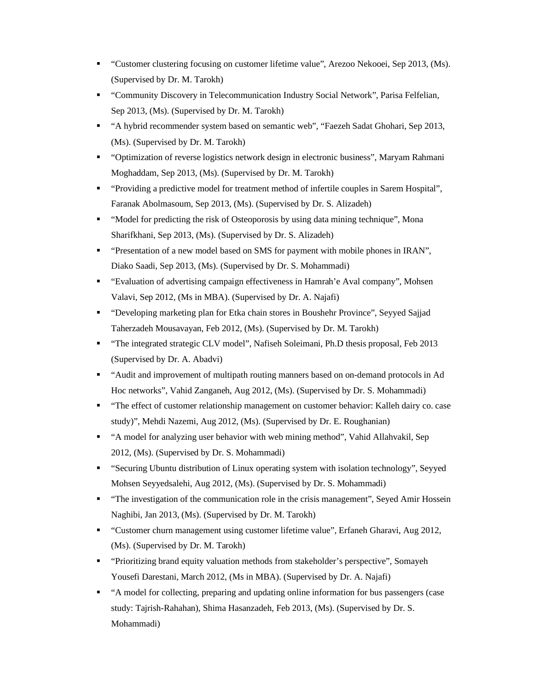- "Customer clustering focusing on customer lifetime value", Arezoo Nekooei, Sep 2013, (Ms). (Supervised by Dr. M. Tarokh)
- "Community Discovery in Telecommunication Industry Social Network", Parisa Felfelian, Sep 2013, (Ms). (Supervised by Dr. M. Tarokh)
- "A hybrid recommender system based on semantic web", "Faezeh Sadat Ghohari, Sep 2013, (Ms). (Supervised by Dr. M. Tarokh)
- "Optimization of reverse logistics network design in electronic business", Maryam Rahmani Moghaddam, Sep 2013, (Ms). (Supervised by Dr. M. Tarokh)
- "Providing a predictive model for treatment method of infertile couples in Sarem Hospital", Faranak Abolmasoum, Sep 2013, (Ms). (Supervised by Dr. S. Alizadeh)
- "Model for predicting the risk of Osteoporosis by using data mining technique", Mona Sharifkhani, Sep 2013, (Ms). (Supervised by Dr. S. Alizadeh)
- "Presentation of a new model based on SMS for payment with mobile phones in IRAN", Diako Saadi, Sep 2013, (Ms). (Supervised by Dr. S. Mohammadi)
- "Evaluation of advertising campaign effectiveness in Hamrah'e Aval company", Mohsen Valavi, Sep 2012, (Ms in MBA). (Supervised by Dr. A. Najafi)
- "Developing marketing plan for Etka chain stores in Boushehr Province", Seyyed Sajjad Taherzadeh Mousavayan, Feb 2012, (Ms). (Supervised by Dr. M. Tarokh)
- "The integrated strategic CLV model", Nafiseh Soleimani, Ph.D thesis proposal, Feb 2013 (Supervised by Dr. A. Abadvi)
- "Audit and improvement of multipath routing manners based on on-demand protocols in Ad Hoc networks", Vahid Zanganeh, Aug 2012, (Ms). (Supervised by Dr. S. Mohammadi)
- "The effect of customer relationship management on customer behavior: Kalleh dairy co. case study)", Mehdi Nazemi, Aug 2012, (Ms). (Supervised by Dr. E. Roughanian)
- "A model for analyzing user behavior with web mining method", Vahid Allahvakil, Sep 2012, (Ms). (Supervised by Dr. S. Mohammadi)
- "Securing Ubuntu distribution of Linux operating system with isolation technology", Seyyed Mohsen Seyyedsalehi, Aug 2012, (Ms). (Supervised by Dr. S. Mohammadi)
- "The investigation of the communication role in the crisis management", Seyed Amir Hossein Naghibi, Jan 2013, (Ms). (Supervised by Dr. M. Tarokh)
- "Customer churn management using customer lifetime value", Erfaneh Gharavi, Aug 2012, (Ms). (Supervised by Dr. M. Tarokh)
- "Prioritizing brand equity valuation methods from stakeholder's perspective", Somayeh Yousefi Darestani, March 2012, (Ms in MBA). (Supervised by Dr. A. Najafi)
- "A model for collecting, preparing and updating online information for bus passengers (case study: Tajrish-Rahahan), Shima Hasanzadeh, Feb 2013, (Ms). (Supervised by Dr. S. Mohammadi)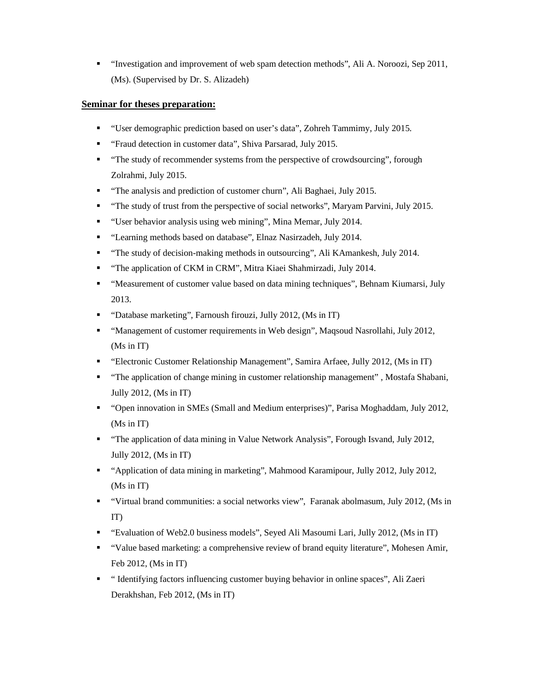"Investigation and improvement of web spam detection methods", Ali A. Noroozi, Sep 2011, (Ms). (Supervised by Dr. S. Alizadeh)

#### **Seminar for theses preparation:**

- "User demographic prediction based on user's data", Zohreh Tammimy, July 2015.
- **•** "Fraud detection in customer data", Shiva Parsarad, July 2015.
- "The study of recommender systems from the perspective of crowdsourcing", forough Zolrahmi, July 2015.
- "The analysis and prediction of customer churn", Ali Baghaei, July 2015.
- "The study of trust from the perspective of social networks", Maryam Parvini, July 2015.
- "User behavior analysis using web mining", Mina Memar, July 2014.
- "Learning methods based on database", Elnaz Nasirzadeh, July 2014.
- "The study of decision-making methods in outsourcing", Ali KAmankesh, July 2014.
- "The application of CKM in CRM", Mitra Kiaei Shahmirzadi, July 2014.
- "Measurement of customer value based on data mining techniques", Behnam Kiumarsi, July 2013.
- "Database marketing", Farnoush firouzi, Jully 2012, (Ms in IT)
- "Management of customer requirements in Web design", Maqsoud Nasrollahi, July 2012, (Ms in IT)
- "Electronic Customer Relationship Management", Samira Arfaee, Jully 2012, (Ms in IT)
- "The application of change mining in customer relationship management" , Mostafa Shabani, Jully 2012, (Ms in IT)
- "Open innovation in SMEs (Small and Medium enterprises)", Parisa Moghaddam, July 2012, (Ms in IT)
- "The application of data mining in Value Network Analysis", Forough Isvand, July 2012, Jully 2012, (Ms in IT)
- "Application of data mining in marketing", Mahmood Karamipour, Jully 2012, July 2012, (Ms in IT)
- "Virtual brand communities: a social networks view", Faranak abolmasum, July 2012, (Ms in IT)
- "Evaluation of Web2.0 business models", Seyed Ali Masoumi Lari, Jully 2012, (Ms in IT)
- "Value based marketing: a comprehensive review of brand equity literature", Mohesen Amir, Feb 2012, (Ms in IT)
- " "Identifying factors influencing customer buying behavior in online spaces", Ali Zaeri Derakhshan, Feb 2012, (Ms in IT)